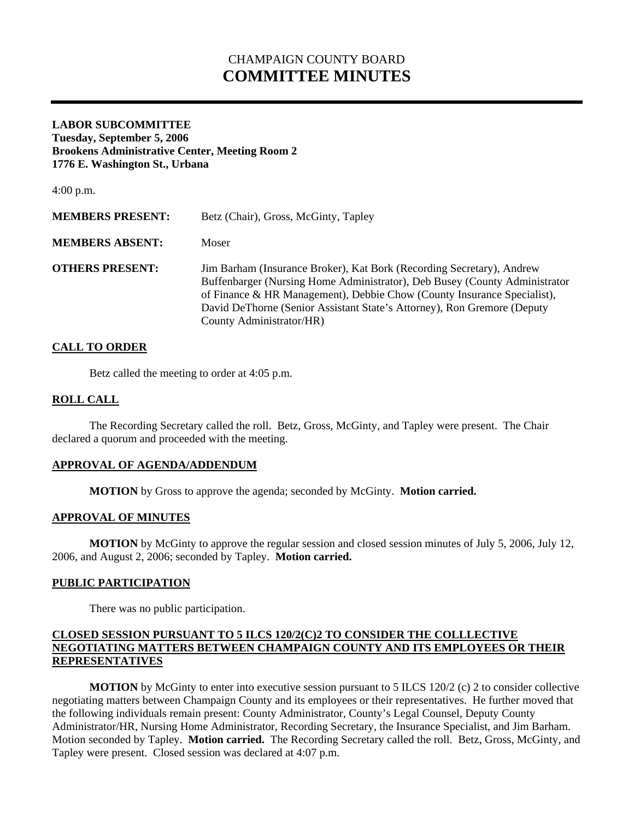# CHAMPAIGN COUNTY BOARD **COMMITTEE MINUTES**

### **LABOR SUBCOMMITTEE Tuesday, September 5, 2006 Brookens Administrative Center, Meeting Room 2 1776 E. Washington St., Urbana**

4:00 p.m. **MEMBERS PRESENT:** Betz (Chair), Gross, McGinty, Tapley **MEMBERS ABSENT:** Moser **OTHERS PRESENT:** Jim Barham (Insurance Broker), Kat Bork (Recording Secretary), Andrew Buffenbarger (Nursing Home Administrator), Deb Busey (County Administrator of Finance & HR Management), Debbie Chow (County Insurance Specialist), David DeThorne (Senior Assistant State's Attorney), Ron Gremore (Deputy County Administrator/HR)

#### **CALL TO ORDER**

Betz called the meeting to order at 4:05 p.m.

#### **ROLL CALL**

 The Recording Secretary called the roll. Betz, Gross, McGinty, and Tapley were present. The Chair declared a quorum and proceeded with the meeting.

#### **APPROVAL OF AGENDA/ADDENDUM**

 **MOTION** by Gross to approve the agenda; seconded by McGinty. **Motion carried.** 

#### **APPROVAL OF MINUTES**

**MOTION** by McGinty to approve the regular session and closed session minutes of July 5, 2006, July 12, 2006, and August 2, 2006; seconded by Tapley. **Motion carried.** 

#### **PUBLIC PARTICIPATION**

There was no public participation.

#### **CLOSED SESSION PURSUANT TO 5 ILCS 120/2(C)2 TO CONSIDER THE COLLLECTIVE NEGOTIATING MATTERS BETWEEN CHAMPAIGN COUNTY AND ITS EMPLOYEES OR THEIR REPRESENTATIVES**

**MOTION** by McGinty to enter into executive session pursuant to 5 ILCS 120/2 (c) 2 to consider collective negotiating matters between Champaign County and its employees or their representatives. He further moved that the following individuals remain present: County Administrator, County's Legal Counsel, Deputy County Administrator/HR, Nursing Home Administrator, Recording Secretary, the Insurance Specialist, and Jim Barham. Motion seconded by Tapley. **Motion carried.** The Recording Secretary called the roll. Betz, Gross, McGinty, and Tapley were present. Closed session was declared at 4:07 p.m.